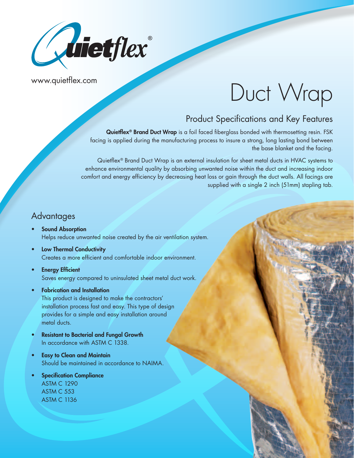

www.quietflex.com

# Duct Wrap

# Product Specifications and Key Features

Quietflex<sup>®</sup> Brand Duct Wrap is a foil faced fiberglass bonded with thermosetting resin. FSK facing is applied during the manufacturing process to insure a strong, long lasting bond between the base blanket and the facing.

Quietflex® Brand Duct Wrap is an external insulation for sheet metal ducts in HVAC systems to enhance environmental quality by absorbing unwanted noise within the duct and increasing indoor comfort and energy efficiency by decreasing heat loss or gain through the duct walls. All facings are supplied with a single 2 inch (51mm) stapling tab.

## **Advantages**

- Sound Absorption Helps reduce unwanted noise created by the air ventilation system.
- Low Thermal Conductivity Creates a more efficient and comfortable indoor environment.
- **Energy Efficient** Saves energy compared to uninsulated sheet metal duct work.
- Fabrication and Installation This product is designed to make the contractors' installation process fast and easy. This type of design provides for a simple and easy installation around metal ducts.
- Resistant to Bacterial and Fungal Growth In accordance with ASTM C 1338.
- **Easy to Clean and Maintain** Should be maintained in accordance to NAIMA.
- **Specification Compliance** ASTM C 1290 ASTM C 553 **ASTM C 1136**